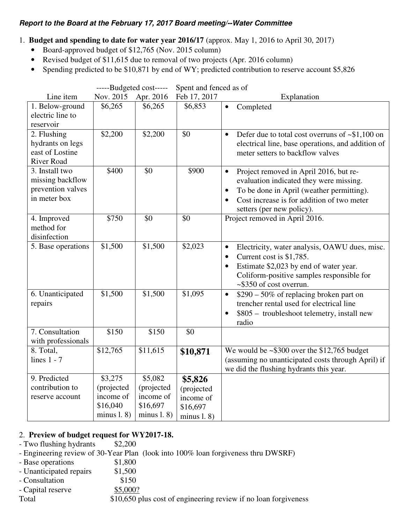# **Report to the Board at the February 17, 2017 Board meeting/--Water Committee**

- 1. **Budget and spending to date for water year 2016/17** (approx. May 1, 2016 to April 30, 2017)
	- Board-approved budget of \$12,765 (Nov. 2015 column)
	- Revised budget of \$11,615 due to removal of two projects (Apr. 2016 column)
	- Spending predicted to be \$10,871 by end of WY; predicted contribution to reserve account \$5,826

|                                                                         | -----Budgeted cost----- |               | Spent and fenced as of |                                                                                                                                                                                                                                                  |
|-------------------------------------------------------------------------|-------------------------|---------------|------------------------|--------------------------------------------------------------------------------------------------------------------------------------------------------------------------------------------------------------------------------------------------|
| Line item                                                               | Nov. 2015               | Apr. 2016     | Feb 17, 2017           | Explanation                                                                                                                                                                                                                                      |
| 1. Below-ground<br>electric line to<br>reservoir                        | \$6,265                 | \$6,265       | \$6,853                | Completed<br>$\bullet$                                                                                                                                                                                                                           |
| 2. Flushing<br>hydrants on legs<br>east of Lostine<br><b>River Road</b> | \$2,200                 | \$2,200       | \$0                    | Defer due to total cost overruns of $\sim $1,100$ on<br>$\bullet$<br>electrical line, base operations, and addition of<br>meter setters to backflow valves                                                                                       |
| 3. Install two<br>missing backflow<br>prevention valves<br>in meter box | \$400                   | \$0           | \$900                  | Project removed in April 2016, but re-<br>$\bullet$<br>evaluation indicated they were missing.<br>To be done in April (weather permitting).<br>$\bullet$<br>Cost increase is for addition of two meter<br>$\bullet$<br>setters (per new policy). |
| 4. Improved<br>method for<br>disinfection                               | \$750                   | \$0           | \$0                    | Project removed in April 2016.                                                                                                                                                                                                                   |
| 5. Base operations                                                      | \$1,500                 | \$1,500       | \$2,023                | Electricity, water analysis, OAWU dues, misc.<br>$\bullet$<br>Current cost is \$1,785.<br>$\bullet$<br>Estimate \$2,023 by end of water year.<br>$\bullet$<br>Coliform-positive samples responsible for<br>~\$350 of cost overrun.               |
| 6. Unanticipated<br>repairs                                             | \$1,500                 | \$1,500       | \$1,095                | \$290 - 50% of replacing broken part on<br>$\bullet$<br>trencher rental used for electrical line<br>\$805 – troubleshoot telemetry, install new<br>$\bullet$<br>radio                                                                            |
| 7. Consultation<br>with professionals                                   | \$150                   | \$150         | \$0                    |                                                                                                                                                                                                                                                  |
| 8. Total,<br>lines $1 - 7$                                              | \$12,765                | \$11,615      | \$10,871               | We would be $\sim$ \$300 over the \$12,765 budget<br>(assuming no unanticipated costs through April) if<br>we did the flushing hydrants this year.                                                                                               |
| 9. Predicted                                                            | \$3,275                 | \$5,082       | \$5,826                |                                                                                                                                                                                                                                                  |
| contribution to                                                         | (projected              | (projected    | (projected             |                                                                                                                                                                                                                                                  |
| reserve account                                                         | income of               | income of     | income of              |                                                                                                                                                                                                                                                  |
|                                                                         | \$16,040                | \$16,697      | \$16,697               |                                                                                                                                                                                                                                                  |
|                                                                         | minus $1.8$ )           | minus $1.8$ ) | minus $1.8$            |                                                                                                                                                                                                                                                  |

### 2. **Preview of budget request for WY2017-18.**

- Two flushing hydrants \$2,200
- Engineering review of 30-Year Plan (look into 100% loan forgiveness thru DWSRF)
- Base operations \$1,800
- Unanticipated repairs \$1,500
- Consultation \$150
- Capital reserve \$5,000?

Total \$10,650 plus cost of engineering review if no loan forgiveness